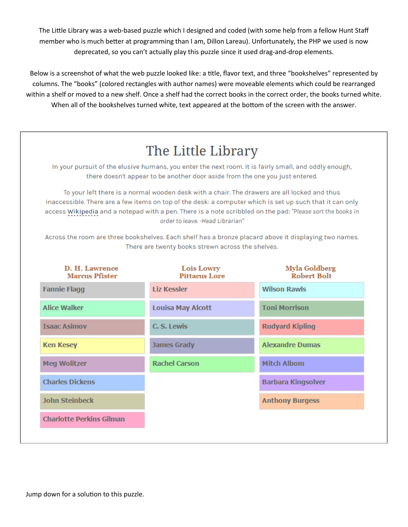The Little Library was a web-based puzzle which I designed and coded (with some help from a fellow Hunt Staff member who is much better at programming than I am, Dillon Lareau). Unfortunately, the PHP we used is now deprecated, so you can't actually play this puzzle since it used drag-and-drop elements.

Below is a screenshot of what the web puzzle looked like: a title, flavor text, and three "bookshelves" represented by columns. The "books" (colored rectangles with author names) were moveable elements which could be rearranged within a shelf or moved to a new shelf. Once a shelf had the correct books in the correct order, the books turned white. When all of the bookshelves turned white, text appeared at the bottom of the screen with the answer.

## The Little Library

In your pursuit of the elusive humans, you enter the next room. It is fairly small, and oddly enough, there doesn't appear to be another door aside from the one you just entered.

To your left there is a normal wooden desk with a chair. The drawers are all locked and thus inaccessible. There are a few items on top of the desk: a computer which is set up such that it can only access Wikipedia and a notepad with a pen. There is a note scribbled on the pad: "Please sort the books in order to leave. -Head Librarian"

Across the room are three bookshelves. Each shelf has a bronze placard above it displaying two names. There are twenty books strewn across the shelves.